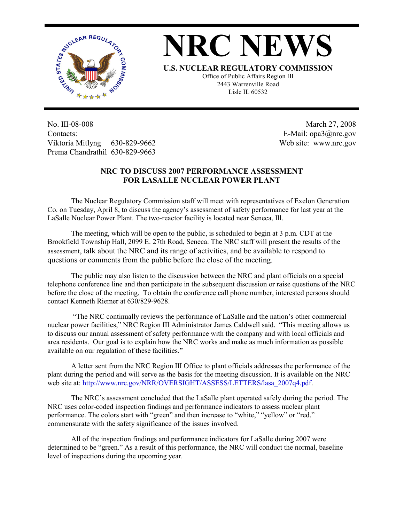

**NRC NEWS**

**U.S. NUCLEAR REGULATORY COMMISSION**

Office of Public Affairs Region III 2443 Warrenville Road Lisle IL 60532

No. III-08-008 Contacts: Viktoria Mitlyng 630-829-9662 Prema Chandrathil 630-829-9663

 March 27, 2008 E-Mail: opa3@nrc.gov Web site: www.nrc.gov

## **NRC TO DISCUSS 2007 PERFORMANCE ASSESSMENT FOR LASALLE NUCLEAR POWER PLANT**

The Nuclear Regulatory Commission staff will meet with representatives of Exelon Generation Co. on Tuesday, April 8, to discuss the agency's assessment of safety performance for last year at the LaSalle Nuclear Power Plant. The two-reactor facility is located near Seneca, Ill.

The meeting, which will be open to the public, is scheduled to begin at 3 p.m. CDT at the Brookfield Township Hall, 2099 E. 27th Road, Seneca. The NRC staff will present the results of the assessment, talk about the NRC and its range of activities, and be available to respond to questions or comments from the public before the close of the meeting.

The public may also listen to the discussion between the NRC and plant officials on a special telephone conference line and then participate in the subsequent discussion or raise questions of the NRC before the close of the meeting. To obtain the conference call phone number, interested persons should contact Kenneth Riemer at 630/829-9628.

 "The NRC continually reviews the performance of LaSalle and the nation's other commercial nuclear power facilities," NRC Region III Administrator James Caldwell said. "This meeting allows us to discuss our annual assessment of safety performance with the company and with local officials and area residents. Our goal is to explain how the NRC works and make as much information as possible available on our regulation of these facilities."

A letter sent from the NRC Region III Office to plant officials addresses the performance of the plant during the period and will serve as the basis for the meeting discussion. It is available on the NRC web site at: http://www.nrc.gov/NRR/OVERSIGHT/ASSESS/LETTERS/lasa\_2007q4.pdf.

The NRC's assessment concluded that the LaSalle plant operated safely during the period. The NRC uses color-coded inspection findings and performance indicators to assess nuclear plant performance. The colors start with "green" and then increase to "white," "yellow" or "red," commensurate with the safety significance of the issues involved.

All of the inspection findings and performance indicators for LaSalle during 2007 were determined to be "green." As a result of this performance, the NRC will conduct the normal, baseline level of inspections during the upcoming year.